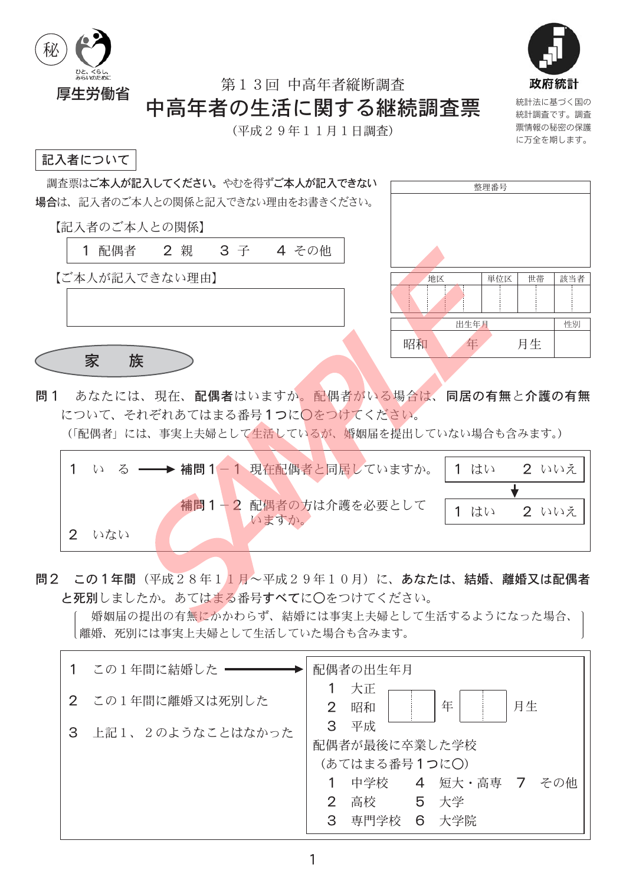



票情報の秘密の保護

に万全を期します。

第13回 中高年者縦断調杳

# 中高年者の生活に関する継続調査票

(平成29年11月1日調査)

### 記入者について



- 補問1-2 配偶者の方は介護を必要として 1 はい  $2$  いいえ いますか。 2 いない
- 問2 この1年間(平成28年11月~平成29年10月)に、あなたは、結婚、離婚又は配偶者 と死別しましたか。あてはまる番号すべてに〇をつけてください。

婚姻届の提出の有無にかかわらず、結婚には事実上夫婦として生活するようになった場合、 |離婚、死別には事実上夫婦として生活していた場合も含みます。

|   | この1年間に結婚した ––    |               | 配偶者の出生年月            |   |                      |
|---|------------------|---------------|---------------------|---|----------------------|
|   | 2 この1年間に離婚又は死別した | 2             | 大正<br>昭和            |   | 年<br>月生              |
| 3 | 上記1、2のようなことはなかった | 3             | 平成<br>配偶者が最後に卒業した学校 |   |                      |
|   |                  |               | (あてはまる番号1つに○)       |   |                      |
|   |                  |               |                     |   | 中学校 4 短大・高専 7<br>その他 |
|   |                  | $\mathcal{P}$ | 高校 5 大学             |   |                      |
|   |                  | 3             | 專門学校                | 6 | 大学院                  |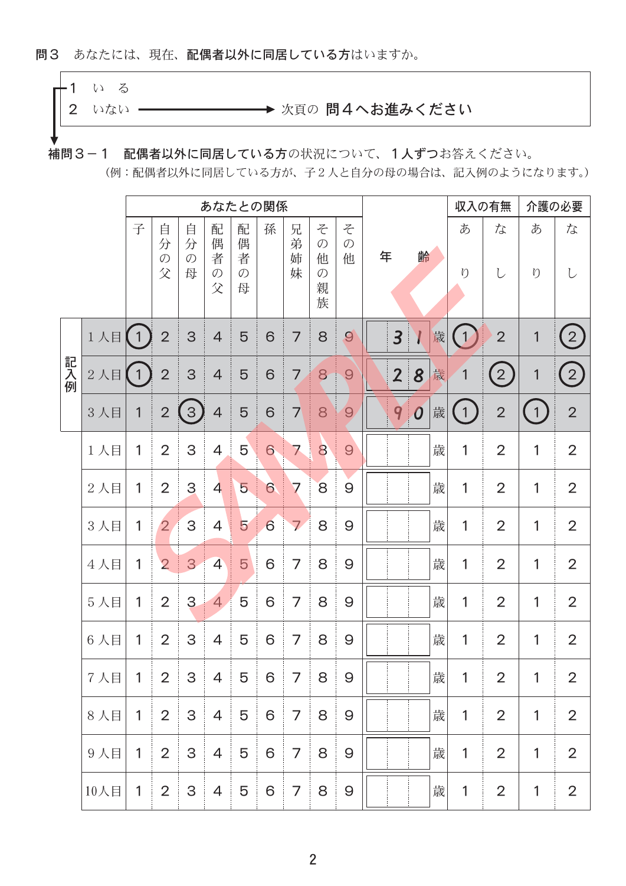#### 問3 あなたには、現在、配偶者以外に同居している方はいますか。

# $-1$   $\cup$   $\geq$

2 いない ー

→ 次頁の 問4へお進みください

補問3-1 配偶者以外に同居している方の状況について、1人ずつお答えください。

(例:配偶者以外に同居している方が、子2人と自分の母の場合は、記入例のようになります。)

|     |        |                | あなたとの関係                      |                              |                                   |                                   |                 |                  |                                                    |                         | 収入の有無                   |                             | 介護の必要 |               |                  |                |                |
|-----|--------|----------------|------------------------------|------------------------------|-----------------------------------|-----------------------------------|-----------------|------------------|----------------------------------------------------|-------------------------|-------------------------|-----------------------------|-------|---------------|------------------|----------------|----------------|
|     |        | 子              | 自<br>分<br>$\mathcal{O}$<br>父 | 自<br>分<br>$\mathcal{O}$<br>母 | 配<br>偶<br>者<br>$\mathcal{O}$<br>父 | 配<br>偶<br>者<br>$\mathcal{O}$<br>母 | 孫               | 兄<br>弟<br>姉<br>妹 | そ<br>$\mathcal{O}$<br>他<br>$\mathcal{O}$<br>親<br>族 | そ<br>$\mathcal{O}$<br>他 | 年                       | 齢                           |       | あ<br>$\eta$   | な                | あ<br>$\eta$    | な              |
|     | 1人目    | $\sqrt{1}$     | $\overline{2}$               | 3                            | $\overline{4}$                    | $\overline{5}$                    | 6               | 7                | 8                                                  | 9                       | $\overline{\mathbf{3}}$ | $\boldsymbol{l}$            | 歳     | $\mathcal{V}$ | $\overline{2}$   | 1              | $\overline{2}$ |
| 記入例 | $2$ 人目 | $\overline{1}$ | $\overline{2}$               | 3                            | $\overline{4}$                    | 5                                 | 6               | 7                | 8                                                  | $\Theta$                | $\overline{2}$          | 8                           | 歳     | 1             | $\left(2\right)$ | 1              | $\overline{2}$ |
|     | 3人目    | 1              | $\overline{2}$               | $\left(3\right)$             | $\overline{4}$                    | 5                                 | $6\phantom{1}$  | 7                | 8                                                  | $\Theta$                | 9                       | $\overline{\boldsymbol{0}}$ | 歳     | $\mathbf{1}$  | $\overline{2}$   | $\overline{1}$ | $\overline{2}$ |
|     | 1人目    | 1              | $\overline{2}$               | 3                            | $\overline{4}$                    | $\overline{5}$                    | 6               | 7                | 8                                                  | 9                       |                         |                             | 歳     | 1             | $\overline{2}$   | 1              | $\overline{2}$ |
|     | 2人目    | 1              | $\overline{2}$               | 3                            | $\overline{4}$                    | $\overline{5}$                    | $6\phantom{1}6$ | 7                | 8                                                  | 9                       |                         |                             | 歳     | 1             | $\overline{2}$   | 1              | $\overline{2}$ |
|     | 3人目    | 1              | $\overline{2}$               | $\overline{3}$               | $\overline{4}$                    | 5                                 | 6               | $\overline{7}$   | 8                                                  | 9                       |                         |                             | 歳     | 1             | $\overline{2}$   | 1              | $\overline{2}$ |
|     | 4人目    | 1              | $\overline{2}$               | 3                            | $\overline{4}$                    | $\overline{5}$                    | 6               | 7                | 8                                                  | 9                       |                         |                             | 歳     | 1             | $\overline{2}$   | 1              | $\overline{2}$ |
|     | 5人目    | 1              | $\overline{2}$               | 3                            | $\overline{4}$                    | 5                                 | 6               | 7                | 8                                                  | 9                       |                         |                             | 歳     | 1             | $\overline{2}$   | 1              | $\overline{2}$ |
|     | 6人目    | 1              | $\overline{2}$               | 3                            | 4                                 | 5                                 | 6               | 7                | 8                                                  | 9                       |                         |                             | 歳     | 1             | $\overline{2}$   | 1              | $\overline{2}$ |
|     | 7人目    | 1              | $\overline{2}$               | 3                            | 4                                 | 5                                 | 6               | 7                | 8                                                  | 9                       |                         |                             | 歳     | 1             | 2                | 1              | $\overline{2}$ |
|     | 8人目    | $\mathbf{1}$   | 2                            | $\mathsf{3}$                 | $\overline{4}$                    | $\overline{5}$                    | $\mathbf 6$     | 7                | 8                                                  | 9                       |                         |                             | 歳     | 1             | $\overline{2}$   | 1              | $\overline{2}$ |
|     | 9人目    | 1              | 2                            | 3                            | $\overline{4}$                    | $\overline{5}$                    | $\mathbf 6$     | 7                | 8                                                  | 9                       |                         |                             | 歳     | 1             | $\overline{2}$   | 1              | $\overline{2}$ |
|     | 10人目   | $\mathbf{1}$   | $\overline{2}$               | $\ensuremath{\mathsf{3}}$    | $\overline{4}$                    | $\overline{5}$                    | 6               | 7                | 8                                                  | 9                       |                         |                             | 歳     | 1             | $\overline{2}$   | 1              | $\overline{2}$ |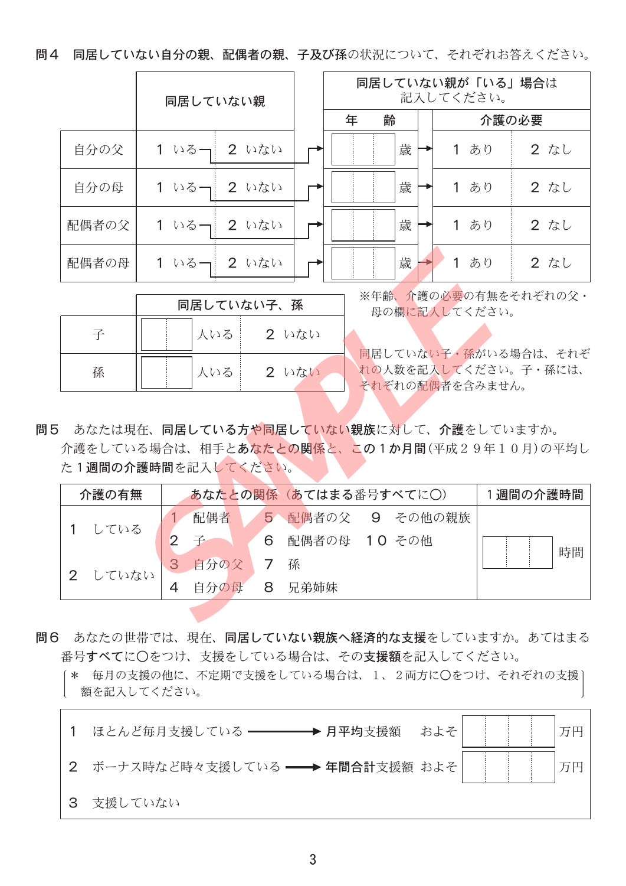問4 同居していない自分の親、配偶者の親、子及び孫の状況について、それぞれお答えください。

|       | 同居していない親        | 同居していない親が「いる」場合は<br>記入してください。 |   |  |                   |       |  |  |
|-------|-----------------|-------------------------------|---|--|-------------------|-------|--|--|
|       |                 | 年                             | 齢 |  |                   | 介護の必要 |  |  |
| 自分の父  | 1 いるー  2 いない    |                               | 歳 |  | あり                | 2 なし  |  |  |
| 自分の母  | 2 いない<br>1 いるー  |                               | 歳 |  | あり<br>1           | 2 なし  |  |  |
| 配偶者の父 | 2 いない<br>1 いるー  |                               | 歳 |  | あり<br>$\mathbf 1$ | 2 なし  |  |  |
| 配偶者の母 | 1 いるー!<br>2 いない |                               | 歳 |  | あり                | 2 なし  |  |  |

|   |     | 同居していない子、孫            | ※年齢、介護の必要の有無をそれぞれの父·<br>母の欄に記入してください。                           |
|---|-----|-----------------------|-----------------------------------------------------------------|
|   | 人いる | $2$ $\omega$ $\alpha$ |                                                                 |
| 孫 | 人いる | $2$ $WxW$             | 同居していない子・孫がいる場合は、それぞ<br>れの人数を記入してください。子・孫には、<br>それぞれの配偶者を含みません。 |

問5 あなたは現在、同居している方や同居していない親族に対して、介護をしていますか。 介護をしている場合は、相手とあなたとの関係と、この1か月間(平成29年10月)の平均し た1週間の介護時間を記入してください。

| 介護の有無 |      |   | あなたとの関係 (あてはまる番号すべてに〇) | 1週間の介護時間 |
|-------|------|---|------------------------|----------|
| している  | 配偶者  | 5 | ■ 配偶者の父 9 その他の親族       |          |
|       |      | 6 | 配偶者の母 10 その他           | 時間       |
| していない | 自分の父 |   | 孫                      |          |
|       | 自分の母 | 8 | 兄弟姉妹                   |          |

- 問6 あなたの世帯では、現在、同居していない親族へ経済的な支援をしていますか。あてはまる 番号すべてに〇をつけ、支援をしている場合は、その支援額を記入してください。
	- 「\* 毎月の支援の他に、不定期で支援をしている場合は、1、2両方に○をつけ、それぞれの支援〕 額を記入してください。

|   | 1 ほとんど毎月支援している ––––––––→ 月平均支援額 およそ |  |  |  |
|---|-------------------------------------|--|--|--|
|   | 2 ボーナス時など時々支援している ━━→ 年間合計支援額 およそ   |  |  |  |
| 3 | 支援していない                             |  |  |  |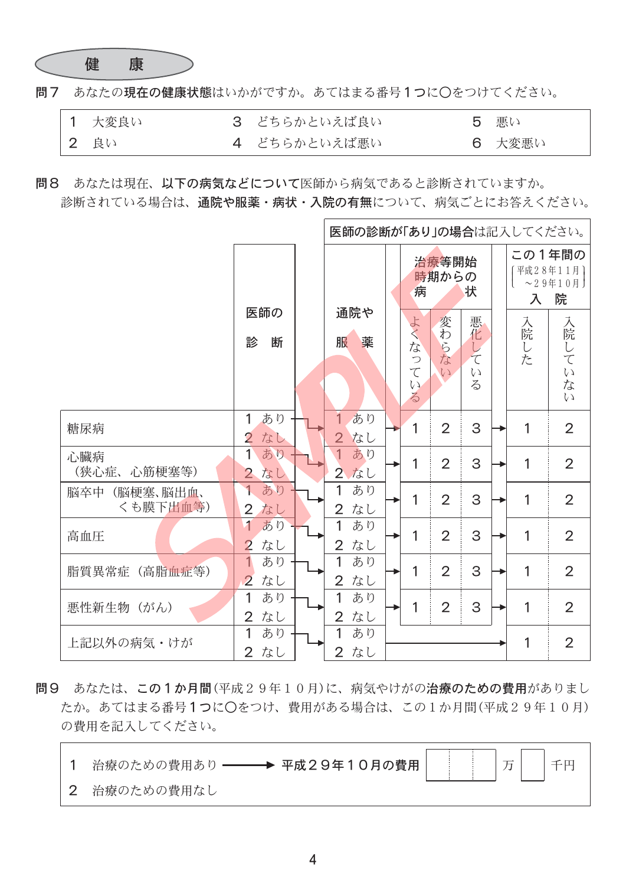

問7 あなたの現在の健康状態はいかがですか。あてはまる番号1つに○をつけてください。

| 1 大変良い | 3 どちらかといえば良い | 5 悪い   |
|--------|--------------|--------|
| 2 良い   | 4 どちらかといえば悪い | 6 大変悪い |

問8 あなたは現在、以下の病気などについて医師から病気であると診断されていますか。 診断されている場合は、通院や服薬・病状・入院の有無について、病気ごとにお答えください。

|                              | 医師の診断が「あり」の場合は記入してください。                      |  |                                              |  |                                                                                                                  |                              |                                                       |  |                   |                                                                  |
|------------------------------|----------------------------------------------|--|----------------------------------------------|--|------------------------------------------------------------------------------------------------------------------|------------------------------|-------------------------------------------------------|--|-------------------|------------------------------------------------------------------|
|                              | 医師の<br>断<br>診                                |  | 通院や<br>服<br>薬                                |  | 病<br>よく<br>75<br>$\begin{array}{c} \mathcal{D} \\ \mathcal{T} \end{array}$<br>$\zeta$ )<br>$\overline{\diamond}$ | 治療等開始<br>時期からの<br>変わらな<br>4V | 状<br>悪化<br>$\overline{L}$<br>$\tau$<br>$\zeta$ )<br>る |  | 入<br>入院<br>L<br>た | この1年間の<br>平成28年11月]<br>$\sim$ 2 9年1 0月<br>院<br>入院していな<br>$\zeta$ |
| 糖尿病                          | あり<br>1<br>$\overline{2}$<br>なし              |  | $\overline{1}$<br>あり<br>$\overline{2}$<br>なし |  | 1                                                                                                                | $\overline{2}$               | 3                                                     |  | 1                 | $\overline{2}$                                                   |
| 心臟病<br>心筋梗塞等)<br>(狭心症、       | $\mathbf{1}$<br>あり<br>$\overline{2}$<br>なし   |  | $\overline{1}$<br>あり<br>$\overline{2}$<br>なし |  | 1                                                                                                                | $\overline{2}$               | 3                                                     |  | 1                 | $\overline{2}$                                                   |
| (脳梗塞、脳出血、<br>脳卒中<br>くも膜下出血等) | あり<br>1<br>$\overline{2}$<br>なし              |  | $\overline{1}$<br>あり<br>$\overline{2}$<br>なし |  | 1                                                                                                                | $\overline{2}$               | 3                                                     |  | 1                 | $\overline{2}$                                                   |
| 高血圧                          | 1<br>あり<br>$\overline{2}$<br>なし              |  | 1<br>あり<br>$\overline{2}$<br>なし              |  | 1                                                                                                                | $\overline{2}$               | 3                                                     |  | 1                 | $\overline{2}$                                                   |
| (高脂血症等)<br>脂質異常症             | $\overline{1}$<br>あり<br>$\overline{2}$<br>なし |  | 1<br>あり<br>$\overline{2}$<br>なし              |  | 1                                                                                                                | $\overline{2}$               | 3                                                     |  | 1                 | $\overline{2}$                                                   |
| 悪性新生物 (がん)                   | 1<br>あり<br>$\overline{2}$<br>なし              |  | 1<br>あり<br>なし<br>$\overline{2}$              |  | 1                                                                                                                | $\overline{2}$               | $\mathsf S$                                           |  | 1                 | $\overline{2}$                                                   |
| 上記以外の病気・けが                   | 1<br>あり<br>なし<br>$\overline{2}$              |  | 1<br>あり<br>$\overline{2}$<br>なし              |  |                                                                                                                  |                              |                                                       |  | 1                 | $\overline{2}$                                                   |

問9 あなたは、この1か月間(平成29年10月)に、病気やけがの治療のための費用がありまし たか。あてはまる番号1つに〇をつけ、費用がある場合は、この1か月間(平成29年10月) の費用を記入してください。

| 2 治療のための費用なし |  |  |  |
|--------------|--|--|--|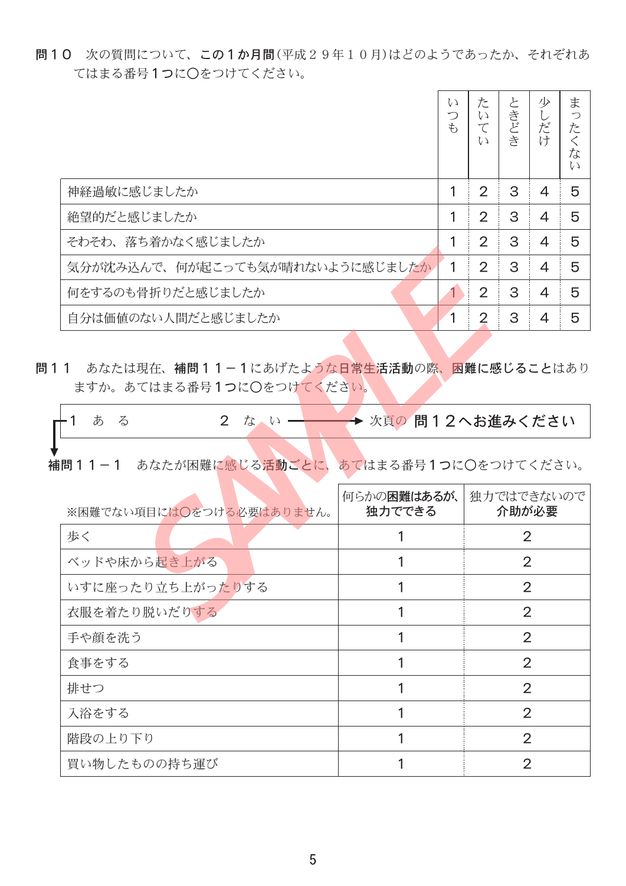問10 次の質問について、この1か月間(平成29年10月)はどのようであったか、それぞれあ てはまる番号1つに〇をつけてください。

|                                 | L)<br>つ<br>$\ddot{\tau}$ | た<br>L)<br>L)  | と<br>きどき | 少<br>だけ        | ま<br>つ<br>た<br>な<br>W |
|---------------------------------|--------------------------|----------------|----------|----------------|-----------------------|
| 神経過敏に感じましたか                     |                          | $\overline{2}$ | 3        | 4              | 5                     |
| 絶望的だと感じましたか                     |                          | $\overline{2}$ | 3        | 4              | 5                     |
| そわそわ、落ち着かなく感じましたか               |                          | $\overline{2}$ | 3        | 4              | 5                     |
| 気分が沈み込んで、何が起こっても気が晴れないように感じましたか | 1                        | $\overline{2}$ | 3        | $\overline{4}$ | 5                     |
| 何をするのも骨折りだと感じましたか               |                          | $\overline{2}$ | 3        | $\overline{4}$ | 5                     |
| 自分は価値のない人間だと感じましたか              |                          | $\overline{2}$ | 3        | 4              | 5                     |

問11 あなたは現在、補問11-1にあげたような日常生活活動の際、困難に感じることはあり ますか。あてはまる番号1つにOをつけてください。

| 十1 あ |  |  |  |  |  | → 次頁の 問12へお進みください |  |
|------|--|--|--|--|--|-------------------|--|
|      |  |  |  |  |  |                   |  |

補問11-1 あなたが困難に感じる活動ごとに、あてはまる番号1つに○をつけてください。

| ※困難でない項目には〇をつける必要はありません。 | 何らかの困難はあるが、<br>独力でできる | 独力ではできないので<br>介助が必要 |
|--------------------------|-----------------------|---------------------|
| 歩く                       |                       | $\overline{2}$      |
| ベッドや床から起き上がる             |                       | $\overline{2}$      |
| いすに座ったり立ち上がったりする         |                       | $\overline{2}$      |
| 衣服を着たり脱いだりする             |                       | $\overline{2}$      |
| 手や顔を洗う                   |                       | $\overline{2}$      |
| 食事をする                    |                       | $\overline{2}$      |
| 排せつ                      |                       | $\overline{2}$      |
| 入浴をする                    |                       | $\overline{2}$      |
| 階段の上り下り                  |                       | $\overline{2}$      |
| 買い物したものの持ち運び             |                       | $\overline{2}$      |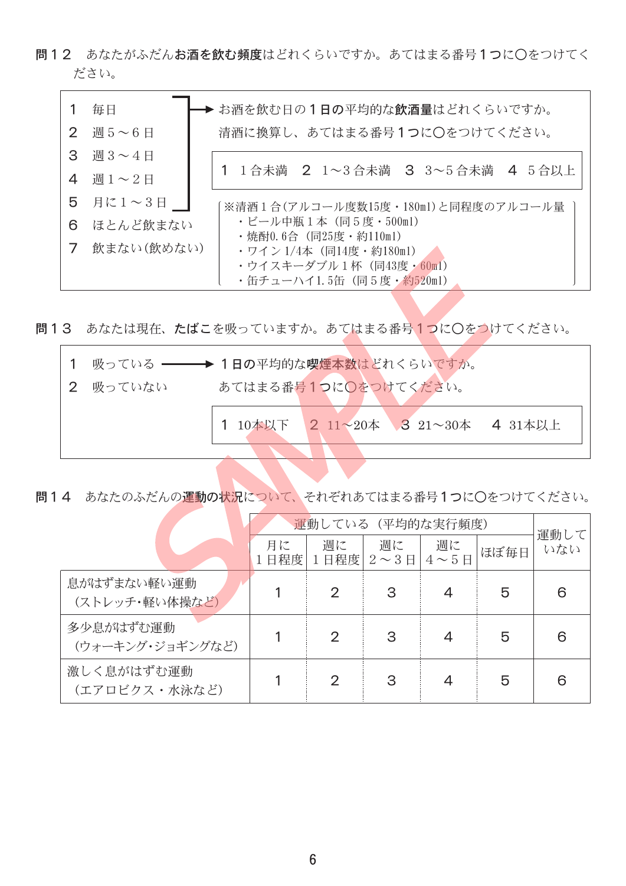問12 あなたがふだんお酒を飲む頻度はどれくらいですか。あてはまる番号1つに○をつけてく ださい。

|                           | 毎日             | → お酒を飲む日の1日の平均的な飲酒量はどれくらいですか。                      |  |  |  |  |  |  |  |  |  |
|---------------------------|----------------|----------------------------------------------------|--|--|--|--|--|--|--|--|--|
| $\mathbf{2}^{\mathsf{I}}$ | 週5~6日          | 清酒に換算し、あてはまる番号1つに○をつけてください。                        |  |  |  |  |  |  |  |  |  |
| 3                         | 週3~4日          |                                                    |  |  |  |  |  |  |  |  |  |
| 4                         | 週 $1 \sim 2$ 日 | 1 1合未満 2 1~3合未満 3 3~5合未満 4 5合以上                    |  |  |  |  |  |  |  |  |  |
| 5                         | 月に1〜3日         | ※清酒1合(アルコール度数15度・180ml)と同程度のアルコール量                 |  |  |  |  |  |  |  |  |  |
| 6                         | ほとんど飲まない       | ・ビール中瓶1本 (同5度・500ml)<br>・焼酎0.6合(同25度・約110ml)       |  |  |  |  |  |  |  |  |  |
|                           | 飲まない(飲めない)     | ・ワイン 1/4本(同14度・約180ml)                             |  |  |  |  |  |  |  |  |  |
|                           |                | ・ウイスキーダブル1杯 (同43度・60ml)<br>・缶チューハイ1.5缶(同5度・約520ml) |  |  |  |  |  |  |  |  |  |

問13 あなたは現在、たばこを吸っていますか。あてはまる番号1つに○をつけてください。

|          | 1 吸っている ━━━→ 1日の平均的な喫煙本数はどれくらいですか。 |  |  |  |  |  |  |  |  |
|----------|------------------------------------|--|--|--|--|--|--|--|--|
| 2 吸っていない | あてはまる番号1つに◎をつけてください。               |  |  |  |  |  |  |  |  |
|          | 1 10本以下 2 11~20本 3 21~30本 4 31本以上  |  |  |  |  |  |  |  |  |
|          |                                    |  |  |  |  |  |  |  |  |

問14 あなたのふだんの運動の状況について、それぞれあてはまる番号1つに〇をつけてください。

|                               |           | 運動している (平均的な実行頻度) |                         |                            |      |             |  |  |  |  |  |
|-------------------------------|-----------|-------------------|-------------------------|----------------------------|------|-------------|--|--|--|--|--|
|                               | 月に<br>日程度 | 週に                | 週に<br>1日程度 $2 \sim 3$ 日 | 週に<br>$4 \sim 5 \text{ H}$ | ほぼ毎日 | 運動して<br>いない |  |  |  |  |  |
| 息がはずまない軽い運動<br>(ストレッチ・軽い体操など) |           | 2                 | 3                       | 4                          | 5    | 6           |  |  |  |  |  |
| 多少息がはずむ運動<br>(ウォーキング・ジョギングなど) |           | 2                 | З                       | 4                          | 5    | 6           |  |  |  |  |  |
| 激しく息がはずむ運動<br>(エアロビクス・水泳など)   |           | 2                 | З                       | 4                          | 5    | 6           |  |  |  |  |  |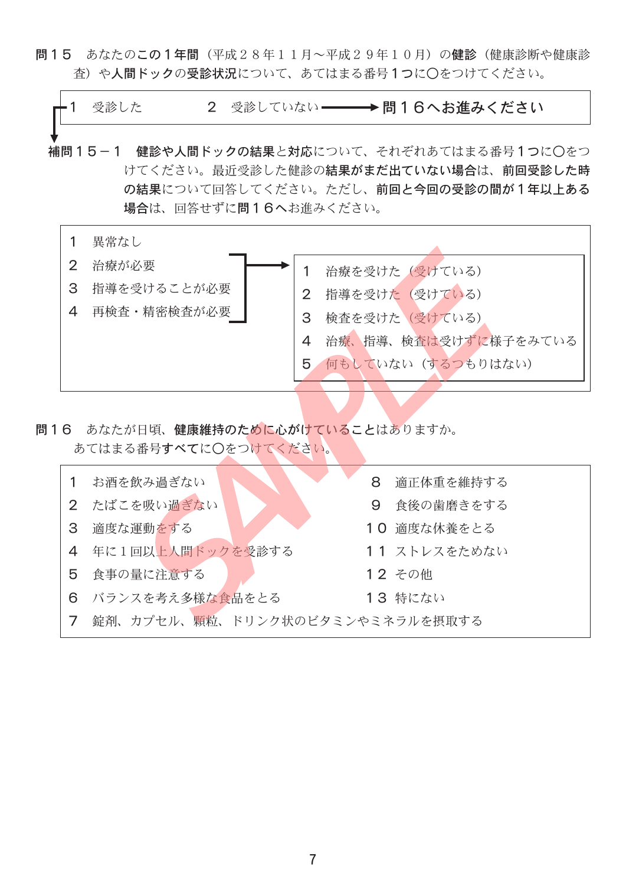問15 あなたのこの1年間 (平成28年11月~平成29年10月) の健診 (健康診断や健康診 杳)や人間ドックの受診状況について、あてはまる番号1つに〇をつけてください。



問16 あなたが日頃、健康維持のために心がけていることはありますか。 あてはまる番号すべてに〇をつけてください。

| お酒を飲み過ぎない                       | 8 | 適正体重を維持する    |
|---------------------------------|---|--------------|
| 2 たばこを吸い過ぎない                    | 9 | 食後の歯磨きをする    |
| 3 適度な運動をする                      |   | 10 適度な休養をとる  |
| 4 年に1回以上人間ドックを受診する              |   | 11 ストレスをためない |
| 5 食事の量に注意する                     |   | 12 その他       |
| 6 バランスを考え多様な食品をとる               |   | 13 特にない      |
| 錠剤、カプセル、顆粒、ドリンク状のビタミンやミネラルを摂取する |   |              |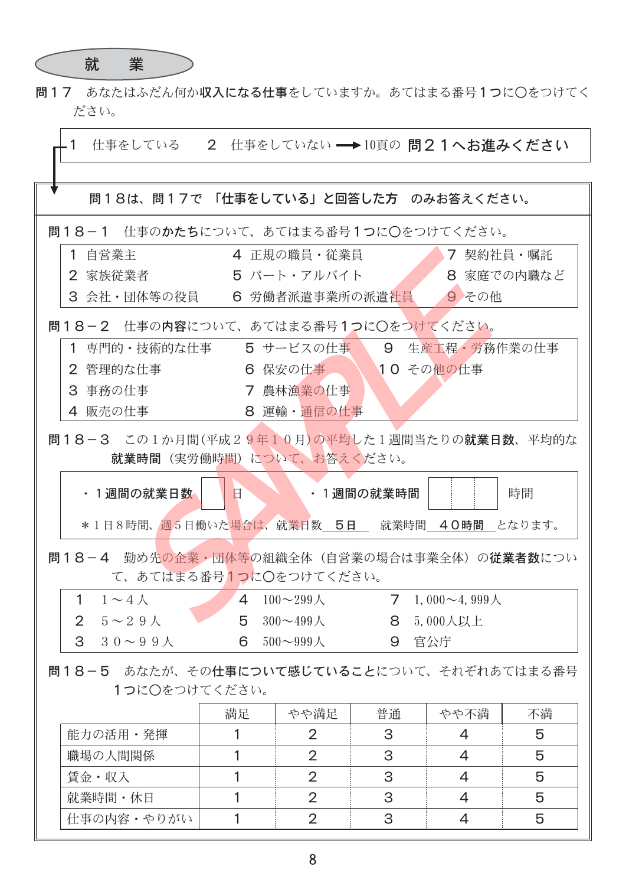

問17 あなたはふだん何か収入になる仕事をしていますか。あてはまる番号1つに○をつけてく ださい。

| 仕事をしている 2 仕事をしていない → 10頁の問21へお進みください<br>$\mathbf{1}$ |              |                          |           |                     |            |  |  |  |  |  |
|------------------------------------------------------|--------------|--------------------------|-----------|---------------------|------------|--|--|--|--|--|
|                                                      |              |                          |           |                     |            |  |  |  |  |  |
| 問18は、問17で 「仕事をしている」と回答した方 のみお答えください。                 |              |                          |           |                     |            |  |  |  |  |  |
| 問18-1 仕事のかたちについて、あてはまる番号1つに○をつけてください。                |              |                          |           |                     |            |  |  |  |  |  |
| 1 自営業主                                               | 4 正規の職員・従業員  |                          |           | 7 契約社員・嘱託           |            |  |  |  |  |  |
| 2 家族従業者                                              |              | 5 パート・アルバイト              |           |                     | 8 家庭での内職など |  |  |  |  |  |
| 3 会社・団体等の役員                                          |              | 6 労働者派遣事業所の派遣社員          |           | 9 その他               |            |  |  |  |  |  |
| 問18−2 仕事の内容について、あてはまる番号1つに○をつけてください。                 |              |                          |           |                     |            |  |  |  |  |  |
| 1 専門的・技術的な仕事                                         |              | 5 サービスの仕事 9 生産工程・労務作業の仕事 |           |                     |            |  |  |  |  |  |
| 2 管理的な仕事                                             |              | 6 保安の仕事   10 その他の仕事      |           |                     |            |  |  |  |  |  |
| 3 事務の仕事                                              |              | 7 農林漁業の仕事                |           |                     |            |  |  |  |  |  |
| 4 販売の仕事                                              |              | 8 運輸・通信の仕事               |           |                     |            |  |  |  |  |  |
| 問18-3 この1か月間(平成29年10月)の平均した1週間当たりの就業日数、平均的な          |              |                          |           |                     |            |  |  |  |  |  |
| 就業時間(実労働時間)について、お答えください。                             |              |                          |           |                     |            |  |  |  |  |  |
| ・1週間の就業日数                                            | $\mathbf{H}$ |                          | ・1週間の就業時間 |                     | 時間         |  |  |  |  |  |
| *1日8時間、週5日働いた場合は、就業日数 5日 就業時間 40時間 となります。            |              |                          |           |                     |            |  |  |  |  |  |
| 問18−4 勤め先の企業・団体等の組織全体(自営業の場合は事業全体)の <b>従業者数</b> につい  |              |                          |           |                     |            |  |  |  |  |  |
| て、あてはまる番号1つに○をつけてください。                               |              |                          |           |                     |            |  |  |  |  |  |
| 1<br>$1 \sim 4 \; \mathcal{N}$                       |              | 4 $100 - 299$ 人          | 7         | 1,000 $\sim$ 4,999人 |            |  |  |  |  |  |
| 2 $5 \sim 29$ $\land$                                | 5            | 300 $\sim$ 499 $\circ$   | 8         | 5,000人以上            |            |  |  |  |  |  |
| 3 30~99人                                             | 6            | $500 \sim 999$ $\land$   | 9 官公庁     |                     |            |  |  |  |  |  |
| 問18-5 あなたが、その仕事について感じていることについて、それぞれあてはまる番号           |              |                          |           |                     |            |  |  |  |  |  |
| 1つに○をつけてください。                                        |              |                          |           |                     |            |  |  |  |  |  |
|                                                      | 満足           | やや満足                     | 普通        | やや不満                | 不満         |  |  |  |  |  |
| 能力の活用・発揮                                             | 1            | $\overline{2}$           | 3         | 4                   | 5          |  |  |  |  |  |
| 職場の人間関係                                              | 1            | 2                        | 3         | 4                   | 5          |  |  |  |  |  |
| 賃金・収入                                                | 1            | 2                        | 3         | 4                   | 5          |  |  |  |  |  |
| 就業時間・休日                                              | 1            | $\overline{2}$           | 3         | 4                   | 5          |  |  |  |  |  |
| 仕事の内容・やりがい                                           | 1            | $\overline{2}$           | 3         | 4                   | 5          |  |  |  |  |  |
|                                                      |              |                          |           |                     |            |  |  |  |  |  |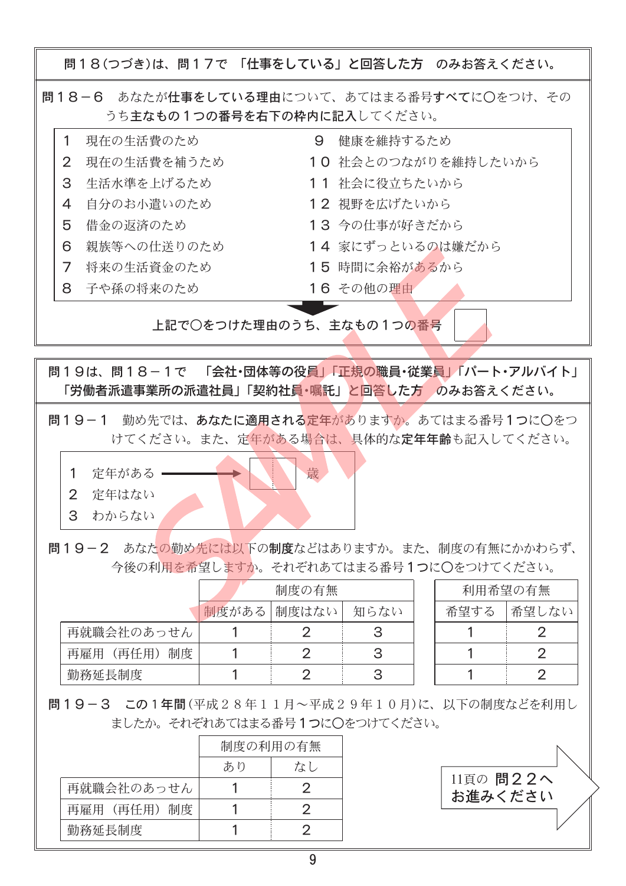問18(つづき)は、問17で 「仕事をしている」と回答した方 のみお答えください。 問18-6 あなたが仕事をしている理由について、あてはまる番号すべてに○をつけ、その うち主なもの1つの番号を右下の枠内に記入してください。  $\mathbf{1}$ 現在の生活費のため 9 健康を維持するため 現在の生活費を補うため 10 社会とのつながりを維持したいから  $\overline{2}$ 生活水準を上げるため 3 11 社会に役立ちたいから 12 視野を広げたいから 自分のお小遣いのため  $\overline{4}$ 5 借金の返済のため 13 今の仕事が好きだから 親族等への仕送りのため 14 家にずっといるのは嫌だから 6  $\overline{7}$ 将来の生活資金のため 15 時間に余裕があるから 8 子や孫の将来のため 16 その他の理由 上記で○をつけた理由のうち、主なもの1つの番号 問19は、問18-1で 「会社・団体等の役員」「正規の職員・従業員」「パート・アルバイト」 「労働者派遣事業所の派遣社員」「契約社員・嘱託」と回答した方 のみお答えください。

問19-1 勤め先では、あなたに適用される定年がありますか。あてはまる番号1つに○をつ けてください。また、定年がある場合は、具体的な定年年齢も記入してください。

1 定年がある -歳 2 定年はない 3 わからない

問19-2 あなたの勤め先には以下の制度などはありますか。また、制度の有無にかかわらず、 今後の利用を希望しますか。それぞれあてはまる番号1つに〇をつけてください。

|            | 制度の有無 |             |      |  |  |  |  |  |
|------------|-------|-------------|------|--|--|--|--|--|
|            |       | 制度がある 制度はない | 知らない |  |  |  |  |  |
| 再就職会社のあっせん |       |             | 3    |  |  |  |  |  |
| 再雇用(再任用)制度 |       |             | 3    |  |  |  |  |  |
| 勤務延長制度     |       |             |      |  |  |  |  |  |

| 利用希望の有無 |       |  |  |  |  |  |  |  |
|---------|-------|--|--|--|--|--|--|--|
| 希望する    | 希望しない |  |  |  |  |  |  |  |
|         | 2     |  |  |  |  |  |  |  |
|         | 2     |  |  |  |  |  |  |  |
|         | 2     |  |  |  |  |  |  |  |

問19-3 この1年間(平成28年11月~平成29年10月)に、以下の制度などを利用し ましたか。それぞれあてはまる番号1つに〇をつけてください。

|            | 制度の利用の有無 |    |  |  |  |  |  |
|------------|----------|----|--|--|--|--|--|
|            | あり       | なし |  |  |  |  |  |
| 再就職会社のあっせん |          | ク  |  |  |  |  |  |
| 再雇用(再任用)制度 |          |    |  |  |  |  |  |
| 勤務延長制度     |          |    |  |  |  |  |  |

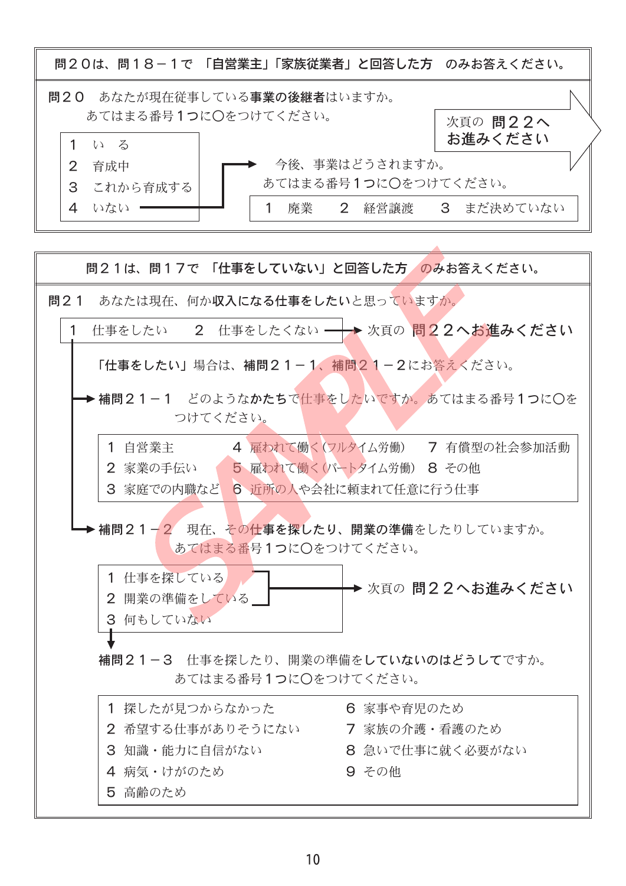

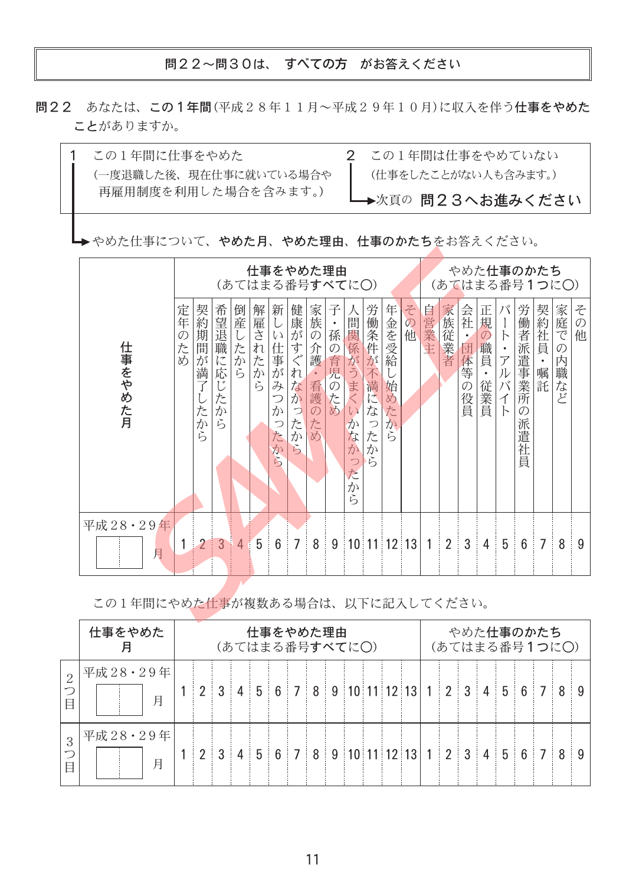問22~問30は、すべての方 がお答えください

問22 あなたは、この1年間(平成28年11月~平成29年10月)に収入を伴う仕事をやめた ことがありますか。



→ やめた仕事について、やめた月、やめた理由、仕事のかたちをお答えください。

|          |                   | <u>やめた仕事のかたち</u><br>仕事をやめた理由<br>(あてはまる番号すべてに○)<br>(あてはまる番号1つに○) |                                                                                   |                   |         |                                                   |                                                                                                       |                                                                  |                                                                              |                                                       |                                                         |                                |                          |      |                |                                                   |                                                       |                                                                                 |                                         |                |                              |                         |
|----------|-------------------|-----------------------------------------------------------------|-----------------------------------------------------------------------------------|-------------------|---------|---------------------------------------------------|-------------------------------------------------------------------------------------------------------|------------------------------------------------------------------|------------------------------------------------------------------------------|-------------------------------------------------------|---------------------------------------------------------|--------------------------------|--------------------------|------|----------------|---------------------------------------------------|-------------------------------------------------------|---------------------------------------------------------------------------------|-----------------------------------------|----------------|------------------------------|-------------------------|
| 仕事をやめた月  | 定年<br>の<br>た<br>め | 契約期間<br>が<br>満之<br>たから                                          | 希望退職<br>$l$ <sup><math>\degree</math></sup><br>応<br>1 <sup>3</sup><br>た<br>か<br>ら | 倒産<br>た<br>か<br>ら | 解雇されたから | 新<br>$\zeta$<br>仕事<br>が<br>み<br>か<br>⊃<br>た<br>から | 健康が<br>す<br>$\hat{\left\langle \mathbf{r}\right\rangle }$<br>れ<br>な<br>か<br>$\bigcirc$<br>た<br>か<br>ら | 家族<br>の<br>介<br>護<br>$\bullet$<br>看護<br>$\mathcal{O}$<br>た<br>zh | 子<br>$\bullet$<br>孫<br>$\mathcal{O}$<br>育児<br>$\overline{\mathcal{O}}$<br>ため | 間<br>関<br>係がうまく<br>$\zeta$<br>か<br>な<br>か<br>った<br>から | 労働条件<br>が<br>不<br>満<br>K<br>75<br>$\bigcirc$<br>た<br>から | 年金を受給<br>始<br>め<br>た<br>か<br>ら | そ<br>$\overline{O}$<br>他 | 自営業主 | 家族従業者          | 会社<br>$\bullet$<br>団<br>体等<br>$\mathcal{O}$<br>役員 | 正<br>規<br>$\mathcal{O}$<br>職<br>蒷<br>$\bullet$<br>従業員 | $\bigcup$<br>$\vdash$<br>$\bullet$<br>$\overline{y}$<br>ル<br>バ<br>亻<br>$\vdash$ | 労働者派<br>#遣事業<br>所<br>O)<br>派<br>遣社<br>員 | 契約社員<br>嘱<br>託 | 家庭で<br>$\mathcal{O}$<br>内職など | そ<br>$\mathcal{O}$<br>他 |
| 平成28·29年 |                   | $\overline{2}$                                                  | $\overline{3}$                                                                    |                   | 5       |                                                   | 7                                                                                                     | 8                                                                | 9                                                                            |                                                       |                                                         |                                |                          | 1    |                | 3                                                 |                                                       | 5                                                                               |                                         | 7              | 8                            |                         |
| 月        |                   |                                                                 |                                                                                   | 4                 |         | 6                                                 |                                                                                                       |                                                                  |                                                                              |                                                       | $10$ 11 12 13                                           |                                |                          |      | $\overline{2}$ |                                                   | 4                                                     |                                                                                 | $6\phantom{1}6$                         |                |                              | 9                       |

この1年間にやめた仕事が複数ある場合は、以下に記入してください。

|               | 仕事をやめた<br>仕事をやめた理由<br>(あてはまる番号すべてに○) |  |                                               |  |  |  |  |  |  | やめた仕事のかたち<br>(あてはまる番号1つに〇) |  |  |  |  |  |  |  |  |  |  |
|---------------|--------------------------------------|--|-----------------------------------------------|--|--|--|--|--|--|----------------------------|--|--|--|--|--|--|--|--|--|--|
| $\Omega$<br>E | 平成28・29年<br>月                        |  |                                               |  |  |  |  |  |  |                            |  |  |  |  |  |  |  |  |  |  |
| 3             | 平成28・29年 <br>月                       |  | 2 3 4 5 6 7 8 9 10 11 12 13 1 2 3 4 5 6 7 8 9 |  |  |  |  |  |  |                            |  |  |  |  |  |  |  |  |  |  |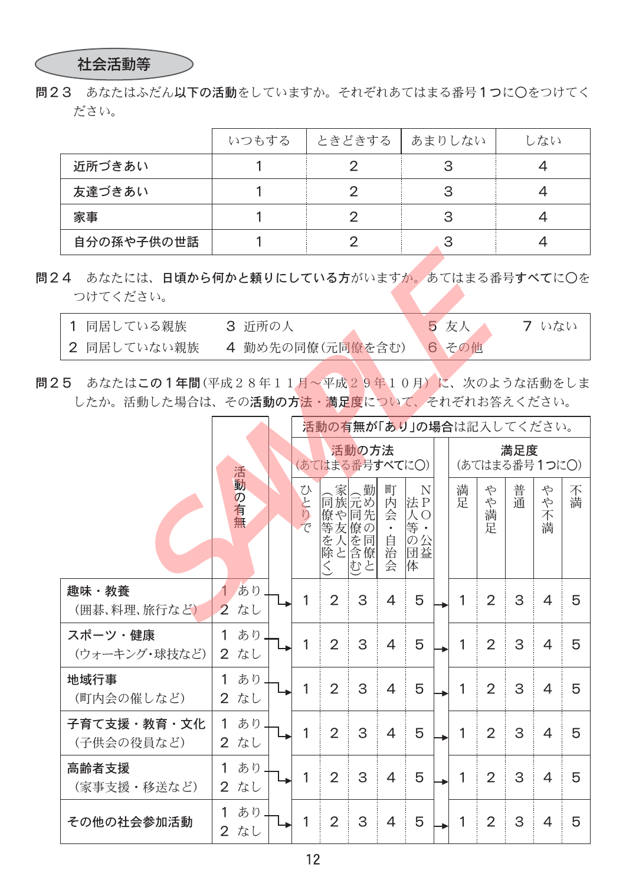### 社会活動等

問23 あなたはふだん以下の活動をしていますか。それぞれあてはまる番号1つに○をつけてく ださい。

|            | いつもする | ときどきする | あまりしない | しない |
|------------|-------|--------|--------|-----|
| 近所づきあい     |       |        |        |     |
| 友達づきあい     |       |        |        |     |
| 家事         |       |        |        |     |
| 自分の孫や子供の世話 |       |        |        |     |

問24 あなたには、日頃から何かと頼りにしている方がいますか。あてはまる番号すべてに〇を つけてください。

| 1 同居している親族  | 3 近所の人           | 5 友人  | フ いない |
|-------------|------------------|-------|-------|
| 2 同居していない親族 | 4 勤め先の同僚(元同僚を含む) | 6 その他 |       |

問25 あなたはこの1年間(平成28年11月~平成29年10月)に、次のような活動をしま したか。活動した場合は、その活動の方法·満足度について、それぞれお答えください。

|                           |                                 | 活動の有無が「あり」の場合は記入してください。 |                                           |                                   |                                     |                                       |  |              |                      |    |                  |        |  |
|---------------------------|---------------------------------|-------------------------|-------------------------------------------|-----------------------------------|-------------------------------------|---------------------------------------|--|--------------|----------------------|----|------------------|--------|--|
|                           |                                 |                         | (あてはまる番号すべてにO)                            | 活動の方法                             |                                     |                                       |  |              | 満足度<br>(あてはまる番号1つに〇) |    |                  |        |  |
|                           | 活動の有無                           | U<br>とりで                | 僚や 同先<br> 等友  僚の<br>を<br>除<br>と<br>$\leq$ | 、家<br>同族元め<br>人を同<br>含僚<br>む<br>と | 町<br>内<br>会<br>$\bullet$<br>自治<br>会 | N<br>法P<br>ĀО<br>等 •<br>の公<br>団益<br>体 |  | 満<br>足       | や<br>や<br>満<br>定     | 普通 | や<br>や<br>不<br>満 | 不<br>満 |  |
| 趣味・教養<br>(囲碁、料理、旅行など)     | あり<br>なし<br>$\overline{2}$      | 1                       | $\overline{2}$                            | 3                                 | $\overline{4}$                      | 5                                     |  | $\mathbf{1}$ | 2                    | 3  | $\overline{4}$   | 5      |  |
| スポーツ・健康<br>(ウォーキング・球技など)  | あり<br>1<br>なし<br>$\overline{2}$ | 1                       | $\overline{2}$                            | 3                                 | $\overline{4}$                      | 5                                     |  | 1            | 2                    | 3  | $\overline{4}$   | 5      |  |
| 地域行事<br>(町内会の催しなど)        | あり<br>1<br>なし<br>$\overline{2}$ | 1                       | $\overline{2}$                            | 3                                 | $\overline{4}$                      | 5                                     |  | 1            | $\overline{2}$       | 3  | $\overline{4}$   | 5      |  |
| 子育て支援・教育・文化<br>(子供会の役員など) | あり<br>1<br>$\overline{2}$<br>なし | 1                       | $\overline{2}$                            | 3                                 | $\overline{4}$                      | 5                                     |  | 1            | $\overline{2}$       | 3  | $\overline{4}$   | 5      |  |
| 高齢者支援<br>(家事支援・移送など)      | あり<br>1<br>なし<br>$\overline{2}$ | 1                       | $\overline{2}$                            | 3                                 | $\overline{4}$                      | 5                                     |  | $\mathbf{1}$ | $\overline{2}$       | 3  | $\overline{4}$   | 5      |  |
| その他の社会参加活動                | あり<br>1<br>なし<br>$\overline{2}$ | 1                       | $\overline{2}$                            | 3                                 | 4                                   | 5                                     |  | 1            | 2                    | 3  | 4                | 5      |  |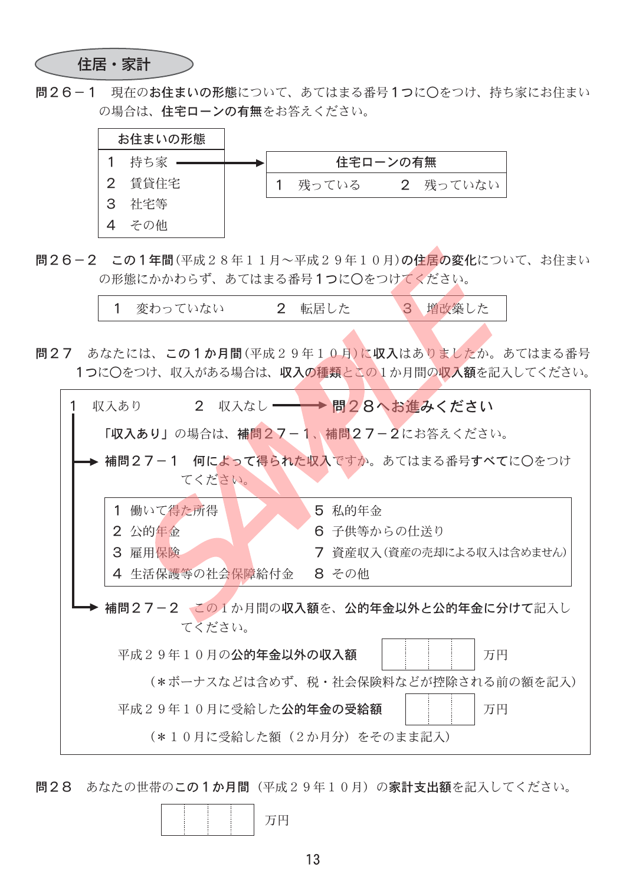住居・家計

問26-1 現在のお住まいの形態について、あてはまる番号1つに○をつけ、持ち家にお住まい の場合は、住宅ローンの有無をお答えください。



問26-2 この1年間(平成28年11月~平成29年10月)の住居の変化について、お住まい の形態にかかわらず、あてはまる番号1つに〇をつけてください。

| 1 変わっていない |  | 2 転居した |  | 3 増改築した |
|-----------|--|--------|--|---------|
|-----------|--|--------|--|---------|

問27 あなたには、この1か月間(平成29年10月)に収入はありましたか。あてはまる番号 1つに〇をつけ、収入がある場合は、収入の種類とこの1か月間の収入額を記入してください。

| 2 収入なし –––––––––– 問28へお進みください<br>収入あり           |
|-------------------------------------------------|
| 「収入あり」の場合は、補問27-1、補問27-2にお答えください。               |
| 補問27-1 何によって得られた収入ですか。あてはまる番号すべてに○をつけ<br>てください。 |
| 1 働いて得た所得<br>5 私的年金                             |
| 2 公的年金<br>6 子供等からの仕送り                           |
| 3 雇用保険<br>7 資産収入(資産の売却による収入は含めません)              |
| 4 生活保護等の社会保障給付金<br>8 その他                        |
| 補問27-2 この1か月間の収入額を、公的年金以外と公的年金に分けて記入し<br>てください。 |
| 平成29年10月の公的年金以外の収入額<br>万円                       |
| (*ボーナスなどは含めず、税・社会保険料などが控除される前の額を記入)             |
| 平成29年10月に受給した公的年金の受給額<br>万円                     |
| (*10月に受給した額(2か月分)をそのまま記入)                       |

問28 あなたの世帯のこの1か月間(平成29年10月)の家計支出額を記入してください。

|--|--|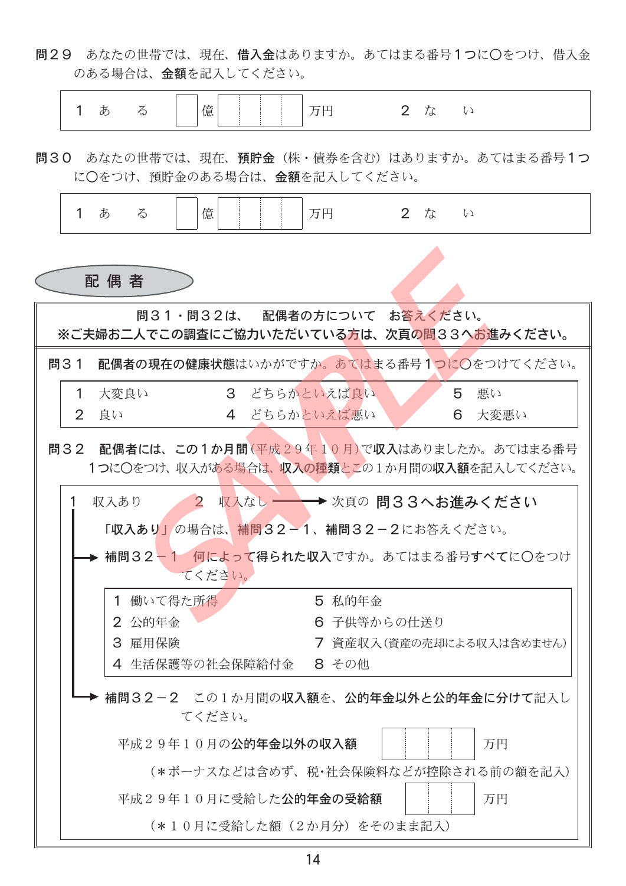問29 あなたの世帯では、現在、借入金はありますか。あてはまる番号1つに〇をつけ、借入金 のある場合は、金額を記入してください。



問30 あなたの世帯では、現在、預貯金(株・債券を含む)はありますか。あてはまる番号1つ に〇をつけ、預貯金のある場合は、金額を記入してください。

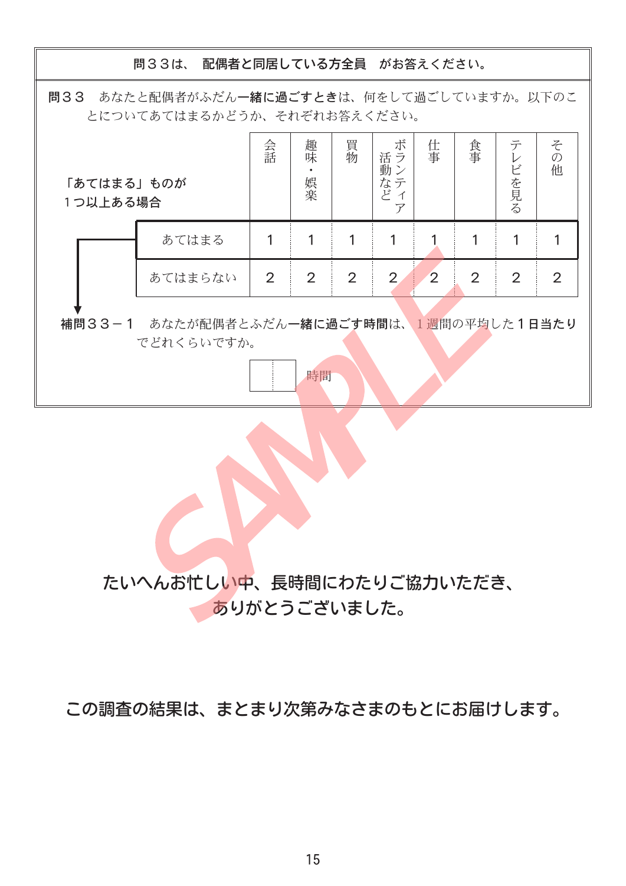問33は、配偶者と同居している方全員 がお答えください。

問33 あなたと配偶者がふだん一緒に過ごすときは、何をして過ごしていますか。以下のこ とについてあてはまるかどうか、それぞれお答えください。

| 「あてはまる」ものが<br>1つ以上ある場合 |                       | 会話             | 趣味<br>娯楽 | 買物             | ボ<br>活ラ<br>動ン<br>なテ<br>ど | 仕事             | 食事             | テ<br>ビを見る      | そ<br>$\mathcal{O}$<br>他 |
|------------------------|-----------------------|----------------|----------|----------------|--------------------------|----------------|----------------|----------------|-------------------------|
|                        | あてはまる                 |                |          |                |                          |                |                |                |                         |
|                        | あてはまらない               | $\overline{2}$ | 2        | $\overline{2}$ | 2                        | $\overline{2}$ | $\overline{2}$ | $\overline{2}$ | 2                       |
| 補問33-1                 | あなたが配偶者とふだん一緒に過ごす時間は、 |                |          |                |                          |                |                | 週間の平均した1日当たり   |                         |

でどれくらいですか。

時間

たいへんお忙しい中、長時間にわたりご協力いただき、 ありがとうございました。

この調査の結果は、まとまり次第みなさまのもとにお届けします。